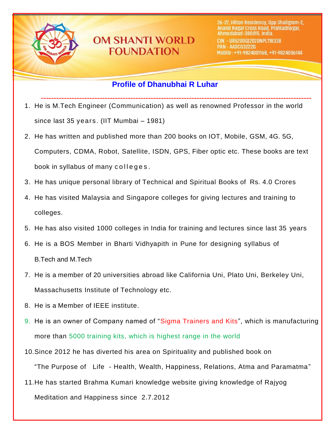

# **OM SHANTI WORLD FOUNDATION**

# **Profile of Dhanubhai R Luhar**

- **----------------------------------------------------------------------------------------------------------** 1. He is M.Tech Engineer (Communication) as well as renowned Professor in the world since last 35 years. (IIT Mumbai – 1981)
- 2. He has written and published more than 200 books on IOT, Mobile, GSM, 4G. 5G, Computers, CDMA, Robot, Satellite, ISDN, GPS, Fiber optic etc. These books are text book in syllabus of many colleges.
- 3. He has unique personal library of Technical and Spiritual Books of Rs. 4.0 Crores
- 4. He has visited Malaysia and Singapore colleges for giving lectures and training to colleges.
- 5. He has also visited 1000 colleges in India for training and lectures since last 35 years
- 6. He is a BOS Member in Bharti Vidhyapith in Pune for designing syllabus of B.Tech and M.Tech
- 7. He is a member of 20 universities abroad like California Uni, Plato Uni, Berkeley Uni, Massachusetts Institute of Technology etc.
- 8. He is a Member of IEEE institute.
- 9. He is an owner of Company named of "Sigma Trainers and Kits", which is manufacturing more than 5000 training kits, which is highest range in the world
- 10.Since 2012 he has diverted his area on Spirituality and published book on "The Purpose of Life - Health, Wealth, Happiness, Relations, Atma and Paramatma"
- 11.He has started Brahma Kumari knowledge website giving knowledge of Rajyog Meditation and Happiness since 2.7.2012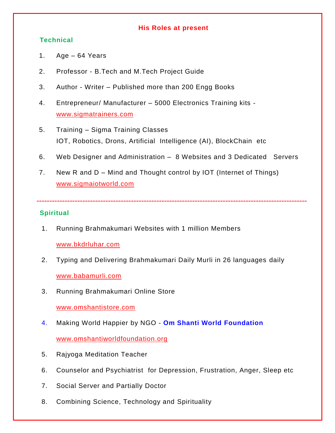#### **His Roles at present**

## **Technical**

- 1. Age 64 Years
- 2. Professor B.Tech and M.Tech Project Guide
- 3. Author Writer Published more than 200 Engg Books
- 4. Entrepreneur/ Manufacturer 5000 Electronics Training kits [www.sigmatrainers.com](http://www.sigmatrainers.com/)
- 5. Training Sigma Training Classes IOT, Robotics, Drons, Artificial Intelligence (AI), BlockChain etc
- 6. Web Designer and Administration 8 Websites and 3 Dedicated Servers

**----------------------------------------------------------------------------------------------------------**

7. New R and D – Mind and Thought control by IOT (Internet of Things) [www.sigmaiotworld.com](http://www.sigmaiotworld.com/)

## **Spiritual**

1. Running Brahmakumari Websites with 1 million Members

## [www.bkdrluhar.com](http://www.bkdrluhar.com/)

- 2. Typing and Delivering Brahmakumari Daily Murli in 26 languages daily [www.babamurli.com](http://www.babamurli.com/)
- 3. Running Brahmakumari Online Store

[www.omshantistore.com](http://www.omshantistore.com/)

- 4. Making World Happier by NGO **Om Shanti World Foundation** [www.omshantiworldfoundation.org](http://www.omshantiworldfoundation.org/)
- 5. Rajyoga Meditation Teacher
- 6. Counselor and Psychiatrist for Depression, Frustration, Anger, Sleep etc
- 7. Social Server and Partially Doctor
- 8. Combining Science, Technology and Spirituality